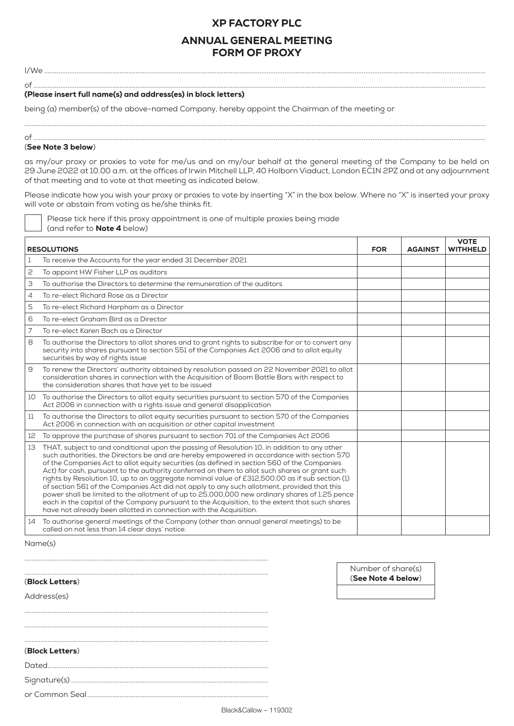# XP FACTORY PLC

# ANNUAL GENERAL MEETING FORM OF PROXY

I/We ......................................................................................................................................................................................................................................................

#### of ............................................................................................................................................................................................................................................................ (Please insert full name(s) and address(es) in block letters)

being (a) member(s) of the above-named Company, hereby appoint the Chairman of the meeting or

Please tick here if this proxy appointment is one of multiple proxies being made

## (See Note 3 below)

(and refer to Note 4 below)

as my/our proxy or proxies to vote for me/us and on my/our behalf at the general meeting of the Company to be held on 29 June 2022 at 10.00 a.m. at the offices of Irwin Mitchell LLP, 40 Holborn Viaduct, London EC1N 2PZ and at any adjournment of that meeting and to vote at that meeting as indicated below.

................................................................................................................................................................................................................................................................. of ............................................................................................................................................................................................................................................................

Please indicate how you wish your proxy or proxies to vote by inserting "X" in the box below. Where no "X" is inserted your proxy will vote or abstain from voting as he/she thinks fit.

|                    |                                                                                                                                                                                                                                                                                                                                                                                                                                                                                                                                                                                                                                                                                                                                                                                                                                                                      |            |                | <b>VOTE</b>     |
|--------------------|----------------------------------------------------------------------------------------------------------------------------------------------------------------------------------------------------------------------------------------------------------------------------------------------------------------------------------------------------------------------------------------------------------------------------------------------------------------------------------------------------------------------------------------------------------------------------------------------------------------------------------------------------------------------------------------------------------------------------------------------------------------------------------------------------------------------------------------------------------------------|------------|----------------|-----------------|
| <b>RESOLUTIONS</b> |                                                                                                                                                                                                                                                                                                                                                                                                                                                                                                                                                                                                                                                                                                                                                                                                                                                                      | <b>FOR</b> | <b>AGAINST</b> | <b>WITHHELD</b> |
|                    | To receive the Accounts for the year ended 31 December 2021                                                                                                                                                                                                                                                                                                                                                                                                                                                                                                                                                                                                                                                                                                                                                                                                          |            |                |                 |
| 2                  | To appoint HW Fisher LLP as auditors                                                                                                                                                                                                                                                                                                                                                                                                                                                                                                                                                                                                                                                                                                                                                                                                                                 |            |                |                 |
| З                  | To authorise the Directors to determine the remuneration of the auditors                                                                                                                                                                                                                                                                                                                                                                                                                                                                                                                                                                                                                                                                                                                                                                                             |            |                |                 |
| 4                  | To re-elect Richard Rose as a Director                                                                                                                                                                                                                                                                                                                                                                                                                                                                                                                                                                                                                                                                                                                                                                                                                               |            |                |                 |
| 5                  | To re-elect Richard Harpham as a Director                                                                                                                                                                                                                                                                                                                                                                                                                                                                                                                                                                                                                                                                                                                                                                                                                            |            |                |                 |
| 6                  | To re-elect Graham Bird as a Director                                                                                                                                                                                                                                                                                                                                                                                                                                                                                                                                                                                                                                                                                                                                                                                                                                |            |                |                 |
| 7                  | To re-elect Karen Bach as a Director                                                                                                                                                                                                                                                                                                                                                                                                                                                                                                                                                                                                                                                                                                                                                                                                                                 |            |                |                 |
| 8                  | To authorise the Directors to allot shares and to grant rights to subscribe for or to convert any<br>security into shares pursuant to section 551 of the Companies Act 2006 and to allot equity<br>securities by way of rights issue                                                                                                                                                                                                                                                                                                                                                                                                                                                                                                                                                                                                                                 |            |                |                 |
| 9                  | To renew the Directors' authority obtained by resolution passed on 22 November 2021 to allot<br>consideration shares in connection with the Acquisition of Boom Battle Bars with respect to<br>the consideration shares that have yet to be issued                                                                                                                                                                                                                                                                                                                                                                                                                                                                                                                                                                                                                   |            |                |                 |
| 10                 | To authorise the Directors to allot equity securities pursuant to section 570 of the Companies<br>Act 2006 in connection with a rights issue and general disapplication                                                                                                                                                                                                                                                                                                                                                                                                                                                                                                                                                                                                                                                                                              |            |                |                 |
| 11                 | To authorise the Directors to allot equity securities pursuant to section 570 of the Companies<br>Act 2006 in connection with an acquisition or other capital investment                                                                                                                                                                                                                                                                                                                                                                                                                                                                                                                                                                                                                                                                                             |            |                |                 |
| 12                 | To approve the purchase of shares pursuant to section 701 of the Companies Act 2006                                                                                                                                                                                                                                                                                                                                                                                                                                                                                                                                                                                                                                                                                                                                                                                  |            |                |                 |
| 13                 | THAT, subject to and conditional upon the passing of Resolution 10, in addition to any other<br>such authorities, the Directors be and are hereby empowered in accordance with section 570<br>of the Companies Act to allot equity securities (as defined in section 560 of the Companies<br>Act) for cash, pursuant to the authority conferred on them to allot such shares or grant such<br>rights by Resolution 10, up to an aggregate nominal value of £312,500.00 as if sub section (1)<br>of section 561 of the Companies Act did not apply to any such allotment, provided that this<br>power shall be limited to the allotment of up to 25,000,000 new ordinary shares of 1.25 pence<br>each in the capital of the Company pursuant to the Acquisition, to the extent that such shares<br>have not already been allotted in connection with the Acquisition. |            |                |                 |
| 14                 | To authorise general meetings of the Company (other than annual general meetings) to be<br>called on not less than 14 clear days' notice.                                                                                                                                                                                                                                                                                                                                                                                                                                                                                                                                                                                                                                                                                                                            |            |                |                 |

Name(s)

### (Block Letters)

Address(es)

### (Block Letters)

Dated...........................................................................................................................

........................................................................................................................................

........................................................................................................................................ ........................................................................................................................................

Signature(s) ..............................................................................................................

or Common Seal.....................................................................................................

Number of share(s)

(See Note 4 below)